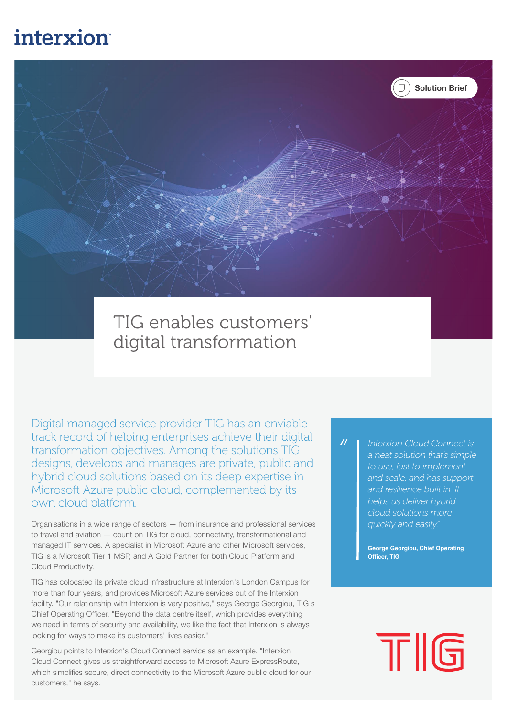# interxion



## TIG enables customers' digital transformation

Digital managed service provider TIG has an enviable track record of helping enterprises achieve their digital transformation objectives. Among the solutions TIG designs, develops and manages are private, public and hybrid cloud solutions based on its deep expertise in Microsoft Azure public cloud, complemented by its own cloud platform.

Organisations in a wide range of sectors — from insurance and professional services to travel and aviation — count on TIG for cloud, connectivity, transformational and managed IT services. A specialist in Microsoft Azure and other Microsoft services, TIG is a Microsoft Tier 1 MSP, and A Gold Partner for both Cloud Platform and Cloud Productivity.

TIG has colocated its private cloud infrastructure at Interxion's London Campus for more than four years, and provides Microsoft Azure services out of the Interxion facility. "Our relationship with Interxion is very positive," says George Georgiou, TIG's Chief Operating Officer. "Beyond the data centre itself, which provides everything we need in terms of security and availability, we like the fact that Interxion is always looking for ways to make its customers' lives easier."

Georgiou points to Interxion's Cloud Connect service as an example. "Interxion Cloud Connect gives us straightforward access to Microsoft Azure ExpressRoute, which simplifies secure, direct connectivity to the Microsoft Azure public cloud for our customers," he says.

 $\overline{u}$ *Interxion Cloud Connect is a neat solution that's simple to use, fast to implement and scale, and has support and resilience built in. It helps us deliver hybrid cloud solutions more quickly and easily."*

> George Georgiou, Chief Operating Officer, TIG